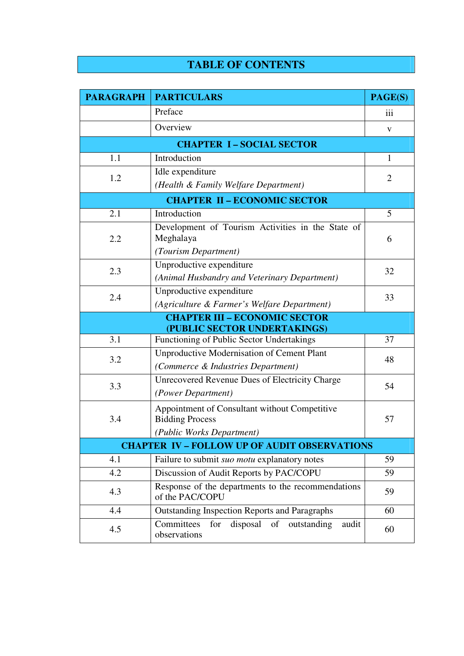## **TABLE OF CONTENTS**

| <b>PARAGRAPH</b>                                    | <b>PARTICULARS</b>                                                                                   | PAGE(S)        |  |
|-----------------------------------------------------|------------------------------------------------------------------------------------------------------|----------------|--|
|                                                     | Preface                                                                                              | iii            |  |
|                                                     | Overview                                                                                             | V              |  |
| <b>CHAPTER I-SOCIAL SECTOR</b>                      |                                                                                                      |                |  |
| 1.1                                                 | Introduction                                                                                         | $\mathbf{1}$   |  |
| 1.2                                                 | Idle expenditure<br>(Health & Family Welfare Department)                                             | $\overline{2}$ |  |
| <b>CHAPTER II - ECONOMIC SECTOR</b>                 |                                                                                                      |                |  |
| 2.1                                                 | Introduction                                                                                         | 5              |  |
| 2.2                                                 | Development of Tourism Activities in the State of<br>Meghalaya<br>(Tourism Department)               | 6              |  |
| 2.3                                                 | Unproductive expenditure<br>(Animal Husbandry and Veterinary Department)                             | 32             |  |
| 2.4                                                 | Unproductive expenditure<br>(Agriculture & Farmer's Welfare Department)                              | 33             |  |
| <b>CHAPTER III - ECONOMIC SECTOR</b>                |                                                                                                      |                |  |
| 3.1                                                 | (PUBLIC SECTOR UNDERTAKINGS)<br>Functioning of Public Sector Undertakings                            | 37             |  |
| 3.2                                                 | <b>Unproductive Modernisation of Cement Plant</b><br>(Commerce & Industries Department)              | 48             |  |
| 3.3                                                 | Unrecovered Revenue Dues of Electricity Charge<br>(Power Department)                                 | 54             |  |
| 3.4                                                 | Appointment of Consultant without Competitive<br><b>Bidding Process</b><br>(Public Works Department) | 57             |  |
| <b>CHAPTER IV - FOLLOW UP OF AUDIT OBSERVATIONS</b> |                                                                                                      |                |  |
| 4.1                                                 | Failure to submit suo motu explanatory notes                                                         | 59             |  |
| 4.2                                                 | Discussion of Audit Reports by PAC/COPU                                                              | 59             |  |
| 4.3                                                 | Response of the departments to the recommendations<br>of the PAC/COPU                                | 59             |  |
| 4.4                                                 | <b>Outstanding Inspection Reports and Paragraphs</b>                                                 | 60             |  |
| 4.5                                                 | disposal of<br>Committees<br>for<br>outstanding<br>audit<br>observations                             | 60             |  |